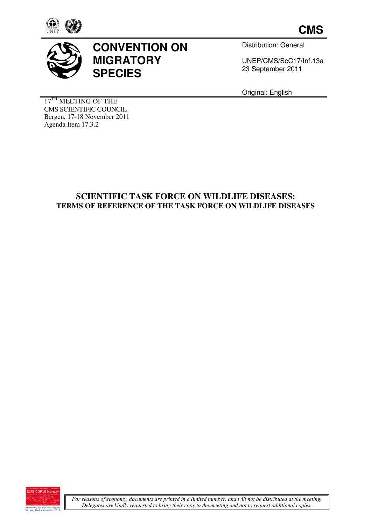



# **CONVENTION ON MIGRATORY SPECIES**

Distribution: General

UNEP/CMS/ScC17/ UNEP/CMS/ScC17/Inf.13a 23 September 2011

Original: English

17<sup>TH</sup> MEETING OF THE CMS SCIENTIFIC COUNCIL Bergen, 17-18 November 2011 Agenda Item 17.3.2

# **SCIENTIFIC TASK FORCE ON WILDLIFE DISEASES: TERMS OF REFERENCE O OF THE TASK FORCE ON WILDLIFE DISEASES**

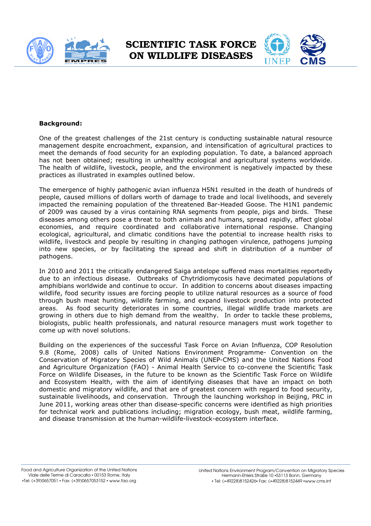



#### **Background:**

One of the greatest challenges of the 21st century is conducting sustainable natural resource management despite encroachment, expansion, and intensification of agricultural practices to management despite encroachment, expansion, and intensification of agricultural practices to<br>meet the demands of food security for an exploding population. To date, a balanced approach meet the demands of food security for an exploding population. To date, a balanced approach<br>has not been obtained; resulting in unhealthy ecological and agricultural systems worldwide. The health of wildlife, livestock, people, and the environment is negatively impacted by these practices as illustrated in examples outlined below below.

The emergence of highly pathogenic avian influenza H5N1 resulted in the death of hundreds of The emergence of highly pathogenic avian influenza H5N1 resulted in the death of hundreds of<br>people, caused millions of dollars worth of damage to trade and local livelihoods, and severely impacted the remaining population of the threatened Bar-Headed Goose. The H1N1 pandemic of 2009 was caused by a virus containing RNA segments from people, pigs and birds. These diseases among others pose a threat to both animals and humans, spread rapidly, affect global economies, and require coordinated and collaborative international response. Changing ecological, agricultural, and climatic conditions have the potential to increase health risks to wildlife, livestock and people by resulting in changing pathogen virulence, pathogens jumping into new species, or by facilitating the spread and shift in distribution of a number of pathogens. oordinated and collaborative international response. Changing<br>climatic conditions have the potential to increase health risks to<br>by resulting in changing pathogen virulence, pathogens jumping<br>cilitating the spread and shif nimals and humans, spread rapidly, affect global<br>collaborative international response. Changing<br>s have the potential to increase health risks to<br>hanging pathogen virulence, pathogens jumping<br>ead and shift in distribution o

In 2010 and 2011 the critically endangered Saiga antelope suffered mass mortalities reportedly due to an infectious disease. Outbreaks of Chytridiomycosis have decimated populations of amphibians worldwide and continue to occur. In addition to concerns about diseases impacting wildlife, food security issues are forcing people to utilize natural resources as a source of food through bush meat hunting, wildlife farming, and expand livestock production into protected areas. As food security deteriorates in some countries, illegal wildlife trade markets are areas. As food security deteriorates in some countries, illegal wildlife trade markets are<br>growing in others due to high demand from the wealthy. In order to tackle these problems, biologists, public health professionals, and natural resource managers must work together to come up with novel solutions. burces as a source of food<br>production into protected<br>vildlife trade markets are<br>to tackle these problems,<br>prs must work together to<br>Influenza, COP Resolution

Building on the experiences of the successful Task Force on Avian Influenza, COP Resolution 9.8 (Rome, 2008) calls of United Nations Environment Programme Programme- Convention on the Conservation of Migratory Species of Wild Animals (UNEP-CMS) and the United Nations Food and Agriculture Organization (FAO) - Animal Health Service to co-convene the Scientific Task Force on Wildlife Diseases, in the future to be known as the Scientific Task Force on Wildlife , and Ecosystem Health, with the aim of identifying diseases that have an impact on both domestic and migratory wildlife, and that are of greatest concern with regard to food security, sustainable livelihoods, and conservation. Through the launching workshop in Beijing, PRC in June 2011, working areas other than disease-specific concerns were identified as high priorities for technical work and publications including; migration ecology, bush meat, wildlife farming, and disease transmission at the human-wildlife-livestock-ecosystem interface. himals (UNEP-CMS) and the United Nations Food<br>Health Service to co-convene the Scientific Task<br>ne known as the Scientific Task Force on Wildlife<br>ntifying diseases that have an impact on both<br>of greatest concern with regard

Food and Agriculture Organization of the United Nations Viale delle Terme di Caracalla ▪ 00153 Rome, Italy ▪Tel: (+39)0657051 ▪ Fax: (+39)0657053152 ▪ www.fao.org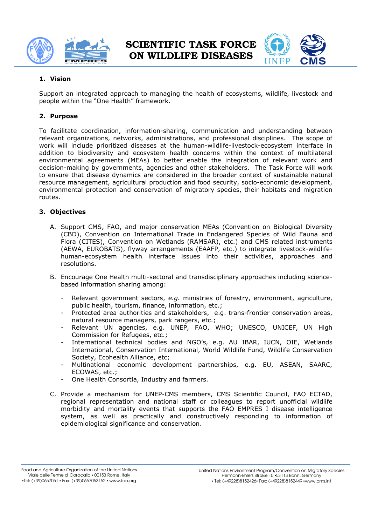



### **1. Vision**

Support an integrated approach to managing the health of ecosystems, wildlife, l livestock and people within the "One Health" framework.

## **2. Purpose**

people within the "One Health" framework.<br>**2. Purpose**<br>To facilitate coordination, information-sharing, communication and understanding between To facilitate coordination, information-sharing, communication and understanding between<br>relevant organizations, networks, administrations, and professional disciplines. The scope of work will include prioritized diseases at the human-wildlife-livestock-ecosystem interface in addition to biodiversity and ecosystem health concerns within the context of multilateral addition to biodiversity and ecosystem health concerns within the context of multilateral<br>environmental agreements (MEAs) to better enable the integration of relevant work and decision-making by governments, agencies and other stakeholders. The Task Force will work to ensure that disease dynamics are considered in the broader context of sustainable natural resource management, agricultural production and food security, socio-economic development, environmental protection and conservation of migratory species, their habitats and migration routes. ironmental protection and conservation of migratory species, their habitats and migration<br>tes.<br>**Objectives**<br>A. Support CMS, FAO, and major conservation MEAs (Convention on Biological Diversity is and other stakeholders. The Task Force will work<br>dered in the broader context of sustainable natural<br>ion and food security, socio-economic development,<br>of migratory species, their habitats and migration<br>servation MEAs (

### **3. Objectives**

- (CBD), Convention on International Trade in Endangered Species of Wild Fauna and Flora (CITES), Convention on Wetlands (RAMSAR), etc.) and CMS related instruments (AEWA, EUROBATS), flyway arrangements ( (EAAFP, etc.) to integrate livestock human-ecosystem health interface issues into their activities, approaches and resolutions. human-ecosystem health interface issues into their activities, approaches and<br>resolutions.<br>B. Encourage One Health multi-sectoral and transdisciplinary approaches including science-
- based information sharing among:
	- Relevant government sectors, e.g. ministries of forestry, environment, agriculture, public health, tourism, finance, information, etc.;
	- Protected area authorities and stakeholders, e.g. trans-frontier conservation areas, natural resource managers, park rangers, etc.; - Protected area authorities and stakeholders, e.g. trans-frontier conservation areas,<br>natural resource managers, park rangers, etc.;<br>- Relevant UN agencies, e.g. UNEP, FAO, WHO; UNESCO, UNICEF, UN High
	- Commission for Refugees, etc.;
	- International technical bodies and NGO's, e.g. AU IBAR, IUCN, OIE, Wetlands International, Conservation International, World Wildlife Fund, Wildlife Conservation International, Conservation Inteı<br>Society, Ecohealth Alliance, etc; International, Conservation International, World Wildlife Fund, Wildlife Conservation<br>Society, Ecohealth Alliance, etc;<br>Multinational economic development partnerships, e.g. EU, ASEAN, SAARC,
	- ECOWAS, etc.;
	- One Health Consortia, Industry and farmers.
- C. Provide a mechanism for UNEP-CMS members, CMS Scientific Council, FAO ECTAD, Provide a mechanism for UNEP-CMS members, CMS Scientific Council, FAO ECTAD,<br>regional representation and national staff or colleagues to report unofficial wildlife morbidity and mortality events that supports the FAO EMPRES I I disease intelligence system, as well as practically and constructively responding to information of epidemiological significance and conservation.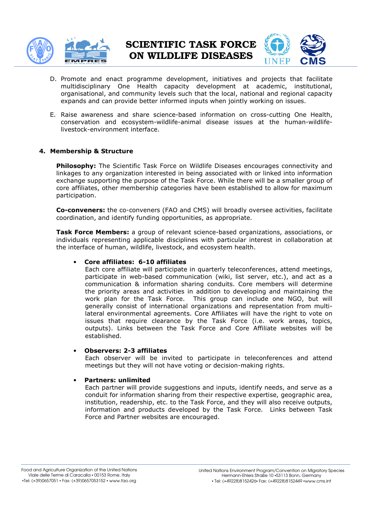

SCIENTIFIC TASK FORCE ON WILDLI WILDLIFE DISEASES



- D. Promote and enact programme development, initiatives and projects that facilitate multidisciplinary One Health capacity development at academic, institutional, organisational, and community levels such that the local, national and regional capacity expands and can provide better informed inputs when jointly working on issues issues.
- E. Raise awareness and share science-based information on cross-cutting One Health, conservation and ecosystem-wildlife-animal disease issues at the human-wildlifelivestock-environment interface.

#### **4. Membership & Structure**

livestock-environment interface.<br>**embership & Structure**<br>Philosophy: The Scientific Task Force on Wildlife Diseases encourages connectivity and linkages to any organization interested in being associated with or linked into information linkages to any organization interested in being associated with or linked into information<br>exchange supporting the purpose of the Task Force. While there will be a smaller group of core affiliates, other membership categories have been established to allow for maximum participation. core affiliates, other membership categories have been established to allow for maximum<br>participation.<br>**Co-conveners:** the co-conveners (FAO and CMS) will broadly oversee activities, facilitate

coordination, and identify funding opportunities, as appropriate.

**Task Force Members:** a group of relevant science-based organizations, associations, or individuals representing applicable disciplines with particular interest in collaboration at the interface of human, wildlife, livestock, and ecosystem health.

#### • **Core affiliates: 6 ore 6-10 affiliates**

Each core affiliate affiliate will participate in quarterly teleconferences, attend meetings, participate in web-based communication (wiki, list server, etc.), and act as a participate in web-based communication (wiki, list server, etc.), and act as a<br>communication & information sharing conduits. Core members will determine the priority areas and activities in addition to developing and maintaining the work plan for the Task Force. This group can include one NGO, but will work plan for the Task Force. This group can include one NGO, but will<br>generally consist of international organizations and representation from multilateral environmental agreements. Core Affiliates will have the right to vote on lateral environmental agreements. Core Affiliates will have the right to vote on<br>issues that require clearance by the Task Force (i.e. work areas, topics, outputs). Links between the Task Force and Core Affiliate websites will be established. outputs). Links between the Task Force and Core Affiliate websites will be<br>established.<br>**Observers: 2-3 affiliates**<br>Each observer will be invited to participate in teleconferences and attend

#### • **Observers: 2- -3 affiliates**

meetings but they will not have voting or decision-making rights.

#### • **Partners: unlimited**

Each partner will provide suggestions and inputs, identify needs, and serve as a conduit for information sharing from their respective expertise, geographic area, conduit for information sharing from their respective expertise, geographic area,<br>institution, readership, etc. to the Task Force, and they will also receive outputs, information and products developed by the Task Force. Force and Partner websites are encouraged. suggestions and inputs, identify needs, and serve as a<br>aring from their respective expertise, geographic area,<br>c. to the Task Force, and they will also receive outputs,<br>i developed by the Task Force. Links between Task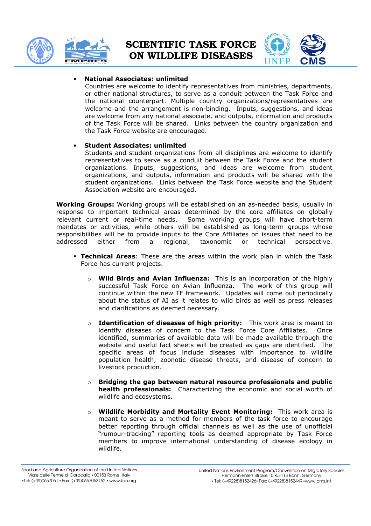



#### • **National Associates: unlimited**

Countries are welcome to identify representatives from ministries, departments, or other national structures, to serve as a conduit between the national counterpart. Multiple country organizations/representatives are welcome and the arrangement is non-binding. Inputs, suggestions, and ideas are welcome from any national associate, and outputs, information and products are welcome from any national associate, and outputs, information and products<br>of the Task Force will be shared. Links between the country organization and the Task Force website are encouraged. ountries are welcome to identify representatives from ministries, departments,<br>r other national structures, to serve as a conduit between the Task Force and<br>ne national counterpart. Multiple country organizations/represent

#### • **Student Associates Associates: unlimited**

Students and student organizations from all disciplines are welcome to identify representatives to serve as a conduit between the Task Force and the student organizations. Inputs, suggestions, and ideas are welcome from student organizations, and outputs, information and products will be shared with the Association website are encouraged.

organizations, and outputs, information and products will be shared with the<br>student organizations. Links between the Task Force website and the Student<br>Association website are encouraged.<br>**Groups:** Working groups will be **Working Groups:** Working groups will be established on an as-needed basis, usually in response to important technical areas determined by the core affiliates on globally relevant current or real-time needs. mandates or activities, while others will be established as long-term groups whose responsibilities will be to provide inputs to the Core Affiliates on issues that need to be<br>addressed either from a regional, taxonomic or technical perspective. addressed either from a regional Some working groups will have short-term taxonomic or technical

- **Technical Areas**: These are the areas within the work plan in which the Task Force has current projects.
	- o **Wild Birds and Avian Influenza:**  This is an incorporation of the highly successful Task Force on Avian Influenza. The work of this group will continue within the new TF framework. Updates will come out periodically about the status of AI as it relates to wild birds as well as press releases and clarifications as deemed necessary.
	- o **Identification of d diseases of high priority:** This work area is meant to identify diseases of concern to the Task Force Core Affiliates. Once identified, summaries of available data will be made available through the website and useful fact sheets will be created as gaps are identified. The specific areas of focus include diseases with importance to wild website and useful fact sheets will be created as gaps are identified. The<br>specific areas of focus include diseases with importance to wildlife<br>population health, zoonotic disease threats, and disease of concern to livestock production. **ifluenza:** This is an incorporation of the highly<br>Avian Influenza. The work of this group will<br>Framework. Updates will come out periodically<br>it relates to wild birds as well as press releases<br>d necessary.<br>**s of high prior**
	- o **Bridging the gap between natural resource professionals and public natural health professionals:**  Characterizing the economic and social worth of wildlife and ecosystems. ○ **Bridging the gap between natural resource professionals and public health professionals:** Characterizing the economic and social worth of wildlife and ecosystems.<br>○ **Wildlife Morbidity and Mortality Event Monitoring:**
	- meant to serve as a method for members of the task force to encourage better reporting through official channels as well as the use of unofficial "rumour-tracking" reporting tools as deemed appropriate by Task Force members to improve international understanding of disease ecology in wildlife.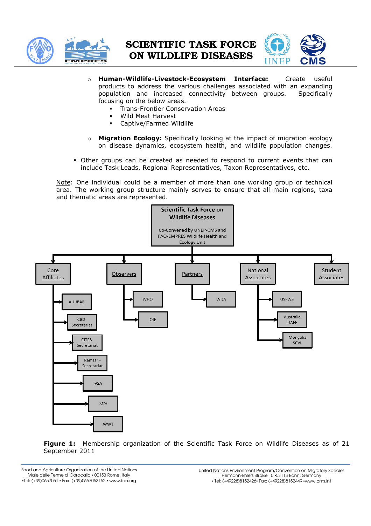



- o **Human-Wildlife Wildlife-Livestock-Ecosystem Interface:**  products to address the various challenges associated with an expanding population and increased connectivity between groups focusing on the below areas. **Interface:** Create useful Specifically
	- **Trans-Frontier Conservation Areas**
	- Wild Meat Harvest
	- Captive/Farmed Wildlife
- o **Migration Ecology Ecology:** Specifically looking at the impact of migration ecology on disease dynamics, ecosystem health, and wildlife population changes.
- Other groups can be created as needed to respond to current events that can include Task Leads, Regional Representatives, Taxon Representatives, etc. **logy:** Specifically looking at the impact of migration ecology amics, ecosystem health, and wildlife population changes.<br>
created as needed to respond to current events that can<br>
egional Representatives, Taxon Representat

Note: One individual could be a member of more than one working area. The working group structure mainly serves to ensure that all main regions, taxa and thematic areas are represented.



**Figure 1:** Membership organization of the Scientific Task Force on Wildlife Diseases as of 21 September 2011

Food and Agriculture Organization of the United Nations Viale delle Terme di Caracalla ▪ 00153 Rome, Italy ▪Tel: (+39)0657051 ▪ Fax: (+39)0657053152 ▪ www.fao.org

United Nations Environment Program/Convention on Migratory Species ons Environment Program/Convention on Migrata<br>Hermann-Ehlers Straße 10 •53113 Bonn, Germany ▪ Tel: (+49228)8152426▪ Fax: (+49228)8152449 ▪www.cms.int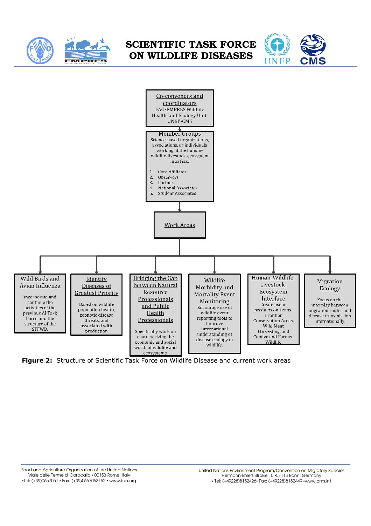